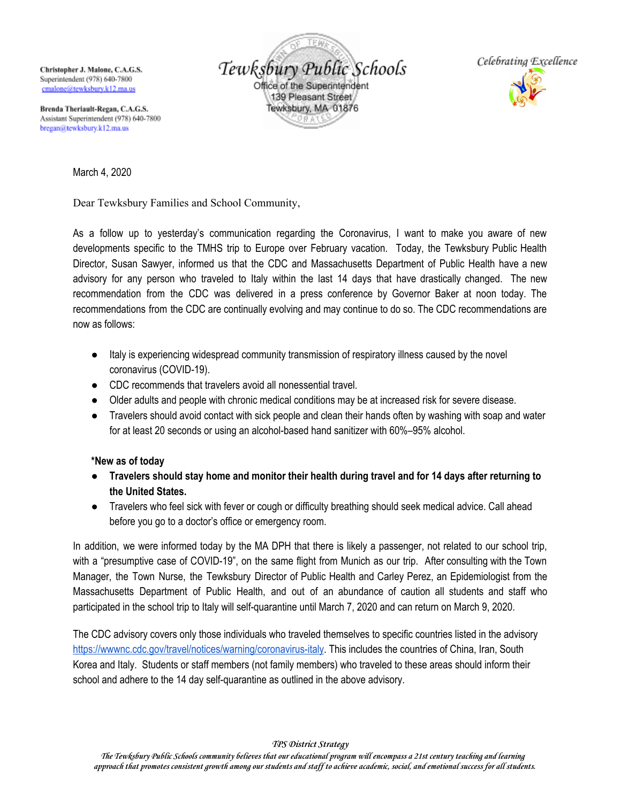Christopher J. Malone, C.A.G.S. Superintendent (978) 640-7800 cmalone@tewksburv.k12.ma.us

Tewksbury Public Schools Office of the Superintendent 139 Pleasant Street Tewksbury, MA 01876



Brenda Theriault-Regan, C.A.G.S. Assistant Superintendent (978) 640-7800 bregan@tewksbury.k12.ma.us

March 4, 2020

Dear Tewksbury Families and School Community,

As a follow up to yesterday's communication regarding the Coronavirus, I want to make you aware of new developments specific to the TMHS trip to Europe over February vacation. Today, the Tewksbury Public Health Director, Susan Sawyer, informed us that the CDC and Massachusetts Department of Public Health have a new advisory for any person who traveled to Italy within the last 14 days that have drastically changed. The new recommendation from the CDC was delivered in a press conference by Governor Baker at noon today. The recommendations from the CDC are continually evolving and may continue to do so. The CDC recommendations are now as follows:

- Italy is experiencing widespread community transmission of respiratory illness caused by the novel coronavirus (COVID-19).
- CDC recommends that travelers avoid all nonessential travel.
- Older adults and people with chronic medical conditions may be at increased risk for severe disease.
- Travelers should avoid contact with sick people and clean their hands often by washing with soap and water for at least 20 seconds or using an alcohol-based hand sanitizer with 60%–95% alcohol.

## **\*New as of today**

- **Travelers should stay home and monitor their health during travel and for 14 days after returning to the United States.**
- Travelers who feel sick with fever or cough or difficulty breathing should seek medical advice. Call ahead before you go to a doctor's office or emergency room.

In addition, we were informed today by the MA DPH that there is likely a passenger, not related to our school trip, with a "presumptive case of COVID-19", on the same flight from Munich as our trip. After consulting with the Town Manager, the Town Nurse, the Tewksbury Director of Public Health and Carley Perez, an Epidemiologist from the Massachusetts Department of Public Health, and out of an abundance of caution all students and staff who participated in the school trip to Italy will self-quarantine until March 7, 2020 and can return on March 9, 2020.

The CDC advisory covers only those individuals who traveled themselves to specific countries listed in the advisory [https://wwwnc.cdc.gov/travel/notices/warning/coronavirus-italy.](https://wwwnc.cdc.gov/travel/notices/warning/coronavirus-italy) This includes the countries of China, Iran, South Korea and Italy. Students or staff members (not family members) who traveled to these areas should inform their school and adhere to the 14 day self-quarantine as outlined in the above advisory.

*TPS District Strategy*